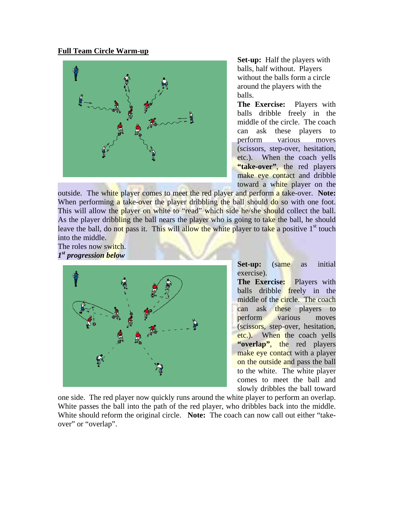## **Full Team Circle Warm-up**



**Set-up:** Half the players with balls, half without. Players without the balls form a circle around the players with the balls.

**The Exercise:** Players with balls dribble freely in the middle of the circle. The coach can ask these players to perform various moves (scissors, step-over, hesitation, etc.). When the coach yells "take-over", the red players make eye contact and dribble toward a white player on the

outside. The white player comes to meet the red player and perform a take-over. **Note:**  When performing a take-over the player dribbling the ball should do so with one foot. This will allow the player on white to "read" which side he/she should collect the ball. As the player dribbling the ball nears the player who is going to take the ball, he should leave the ball, do not pass it. This will allow the white player to take a positive  $1<sup>st</sup>$  touch into the middle.

The roles now switch. *1st progression below* 



**Set-up:** (same as initial exercise).

**The Exercise:** Players with balls dribble freely in the middle of the circle. The coach can ask these players to perform various moves (scissors, step-over, hesitation, etc.). When the coach yells **"overlap"**, the red players make eye contact with a player on the outside and pass the ball to the white. The white player comes to meet the ball and slowly dribbles the ball toward

White should reform the original circle. Note: The coach can now call out either "takeover" or "overlap". one side. The red player now quickly runs around the white player to perform an overlap. White passes the ball into the path of the red player, who dribbles back into the middle.